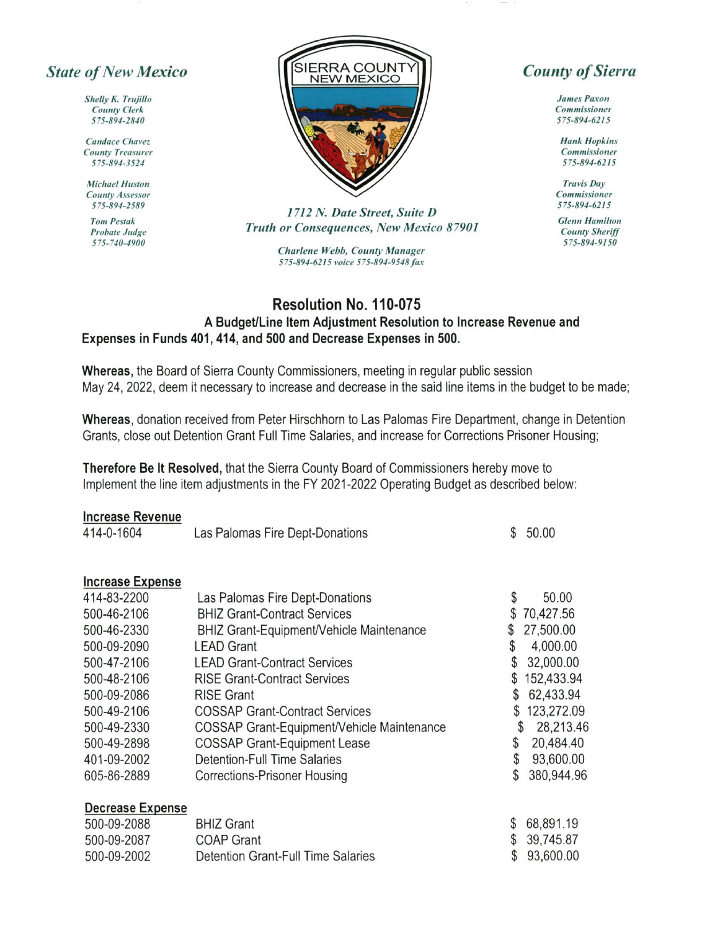## State of New Mexico

Shelly K. Trujillo **County Clerk** s7s-891-2810

**Candace Chavez County Treasurer** 57s-891-3524

**Michael Huston County Assessor** 575-891-2589

**Tom Pestak** Probate Judge 575-710-1900



1712 N. Date Street, Suite D Truth or Consequences, New Mexico 87901

> Charlene Webb, County Manager 575-894-6215 voice 575-894-9548 fax

## **County of Sierra**

**James Paxon** Commissioner 575-894-62t 5

**Hank Hopkins** Commissioner 575-E91-6215

Travis Day<br>Commissioner 575-894-6215

**Glenn Hamilton County Sheriff** 575-894-9150

## Resolution No. 110-075 A Budget/Line Item Adjustment Resolution to Increase Revenue and Expenses in Funds 401, 414, and 500 and Decrease Expenses in 500.

Whereas, the Board of Sierra County Commissioners, meeting in regular public session May 24,2022, deem it necessary to increase and decrease in the said line items in the budget to be made;

Whereas, donation received from Peter Hirschhorn to Las Palomas Fire Department, change in Detention Grants, close out Detention Grant Full Time Salaries, and increase for Corrections Prisoner Housing;

Therefore Be lt Resolved, that the Sierra County Board of Commissioners hereby move to Implement the line item adjustments in the FY 2021-2022 Operating Budget as described below:

|  | <b>Increase Revenue</b> |  |  |  |  |
|--|-------------------------|--|--|--|--|
|  |                         |  |  |  |  |

| 414-0-1604              | Las Palomas Fire Dept-Donations                 | \$ | 50.00      |
|-------------------------|-------------------------------------------------|----|------------|
| <b>Increase Expense</b> |                                                 |    |            |
| 414-83-2200             | Las Palomas Fire Dept-Donations                 | \$ | 50.00      |
| 500-46-2106             | <b>BHIZ Grant-Contract Services</b>             | \$ | 70,427.56  |
| 500-46-2330             | <b>BHIZ Grant-Equipment/Vehicle Maintenance</b> | \$ | 27,500.00  |
| 500-09-2090             | <b>LEAD Grant</b>                               | \$ | 4,000.00   |
| 500-47-2106             | <b>LEAD Grant-Contract Services</b>             | \$ | 32,000.00  |
| 500-48-2106             | <b>RISE Grant-Contract Services</b>             | \$ | 152,433.94 |
| 500-09-2086             | <b>RISE Grant</b>                               | \$ | 62,433.94  |
| 500-49-2106             | <b>COSSAP Grant-Contract Services</b>           | \$ | 123,272.09 |
| 500-49-2330             | COSSAP Grant-Equipment/Vehicle Maintenance      | S  | 28,213.46  |
| 500-49-2898             | <b>COSSAP Grant-Equipment Lease</b>             | \$ | 20,484.40  |
| 401-09-2002             | <b>Detention-Full Time Salaries</b>             | \$ | 93,600.00  |
| 605-86-2889             | Corrections-Prisoner Housing                    | \$ | 380,944.96 |
| <b>Decrease Expense</b> |                                                 |    |            |
| 500-09-2088             | <b>BHIZ Grant</b>                               | \$ | 68,891.19  |
| 500-09-2087             | <b>COAP Grant</b>                               | \$ | 39,745.87  |
| 500-09-2002             | <b>Detention Grant-Full Time Salaries</b>       | \$ | 93,600.00  |